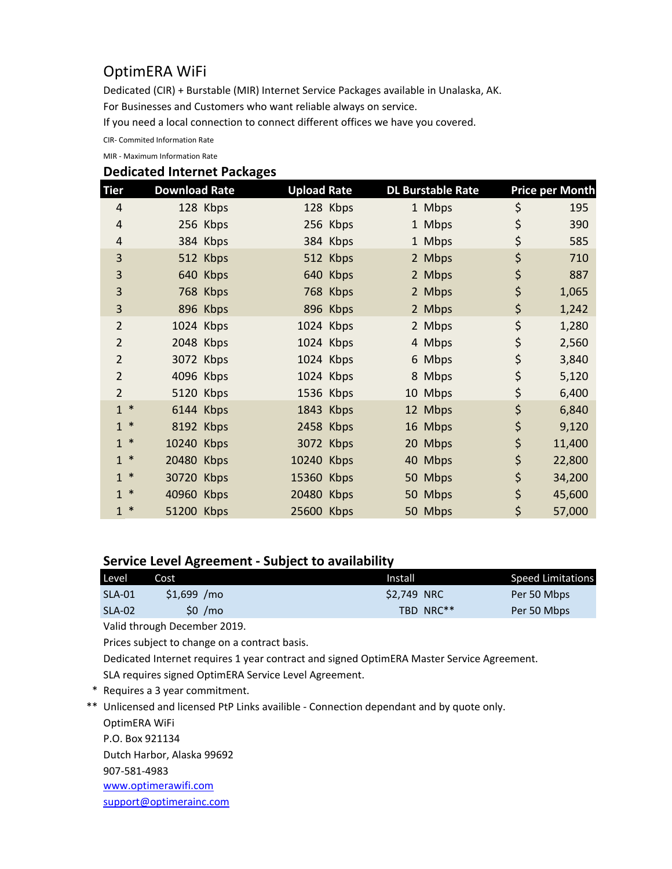## OptimERA WiFi

Dedicated (CIR) + Burstable (MIR) Internet Service Packages available in Unalaska, AK.

For Businesses and Customers who want reliable always on service.

If you need a local connection to connect different offices we have you covered.

CIR- Commited Information Rate

MIR - Maximum Information Rate

## **Dedicated Internet Packages**

| Tier                   | <b>Download Rate</b> | <b>Upload Rate</b> |           | <b>DL Burstable Rate</b> | <b>Price per Month</b> |
|------------------------|----------------------|--------------------|-----------|--------------------------|------------------------|
| $\overline{4}$         | 128 Kbps             |                    | 128 Kbps  | 1 Mbps                   | \$<br>195              |
| 4                      | 256 Kbps             |                    | 256 Kbps  | 1 Mbps                   | \$<br>390              |
| 4                      | 384 Kbps             |                    | 384 Kbps  | 1 Mbps                   | \$<br>585              |
| 3                      | 512 Kbps             |                    | 512 Kbps  | 2 Mbps                   | \$<br>710              |
| 3                      | 640 Kbps             |                    | 640 Kbps  | 2 Mbps                   | \$<br>887              |
| 3                      | 768 Kbps             |                    | 768 Kbps  | 2 Mbps                   | \$<br>1,065            |
| 3                      | 896 Kbps             |                    | 896 Kbps  | 2 Mbps                   | \$<br>1,242            |
| $\overline{2}$         | 1024 Kbps            |                    | 1024 Kbps | 2 Mbps                   | \$<br>1,280            |
| $\overline{2}$         | 2048 Kbps            |                    | 1024 Kbps | 4 Mbps                   | \$<br>2,560            |
| $\overline{2}$         | 3072 Kbps            |                    | 1024 Kbps | 6 Mbps                   | \$<br>3,840            |
| 2                      | 4096 Kbps            |                    | 1024 Kbps | 8 Mbps                   | \$<br>5,120            |
| $\overline{2}$         | 5120 Kbps            |                    | 1536 Kbps | 10 Mbps                  | \$<br>6,400            |
| $1 *$                  | 6144 Kbps            |                    | 1843 Kbps | 12 Mbps                  | \$<br>6,840            |
| $\ast$<br>$\mathbf{1}$ | 8192 Kbps            |                    | 2458 Kbps | 16 Mbps                  | \$<br>9,120            |
| $\ast$<br>$\mathbf{1}$ | 10240 Kbps           |                    | 3072 Kbps | 20 Mbps                  | \$<br>11,400           |
| $\ast$<br>$\mathbf{1}$ | 20480 Kbps           | 10240 Kbps         |           | 40 Mbps                  | \$<br>22,800           |
| ∗<br>$\mathbf{1}$      | 30720 Kbps           | 15360 Kbps         |           | 50 Mbps                  | \$<br>34,200           |
| $\ast$<br>$\mathbf{1}$ | 40960 Kbps           | 20480 Kbps         |           | 50 Mbps                  | \$<br>45,600           |
| $\ast$<br>1            | 51200 Kbps           | 25600 Kbps         |           | 50 Mbps                  | \$<br>57,000           |

## **Service Level Agreement - Subject to availability**

| Level    | Cost         | Install           | Speed Limitations        |
|----------|--------------|-------------------|--------------------------|
| $SLA-01$ | $$1.699$ /mo | <b>S2.749 NRC</b> | Per 50 Mbps              |
| SLA-02   | \$0 /mo      |                   | TBD NRC**<br>Per 50 Mbps |

Valid through December 2019.

Prices subject to change on a contract basis.

Dedicated Internet requires 1 year contract and signed OptimERA Master Service Agreement. SLA requires signed OptimERA Service Level Agreement.

- \* Requires a 3 year commitment.
- \*\* Unlicensed and licensed PtP Links availible Connection dependant and by quote only. OptimERA WiFi P.O. Box 921134

Dutch Harbor, Alaska 99692

907-581-4983

[www.optimerawifi.com](http://www.optimerawifi.com/)

[support@optimerainc.com](http://support@optimerainc.com)